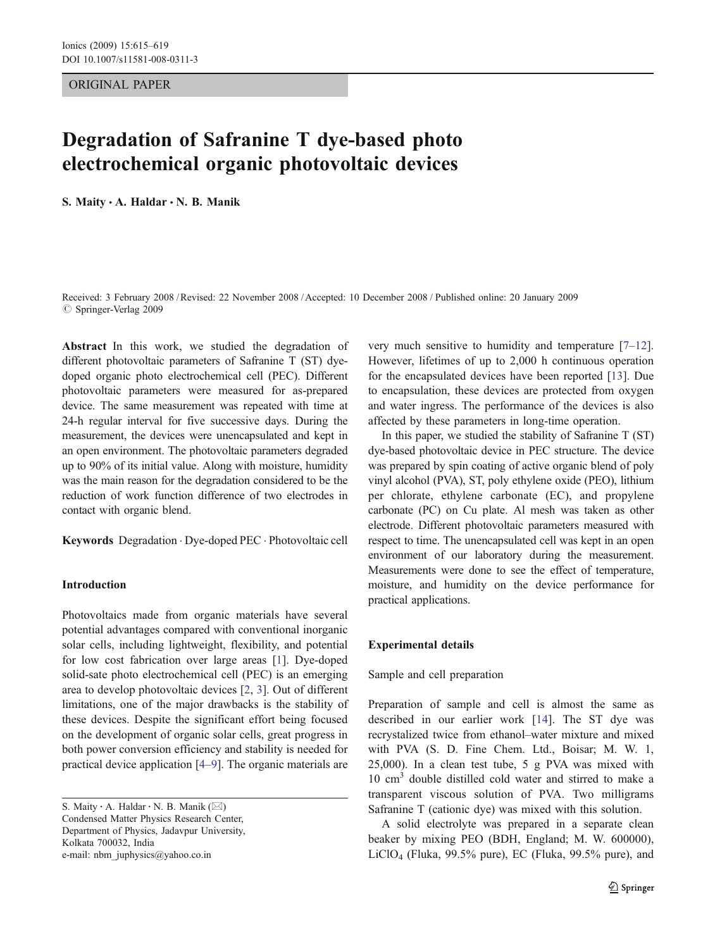ORIGINAL PAPER

# Degradation of Safranine T dye-based photo electrochemical organic photovoltaic devices

S. Maity · A. Haldar · N. B. Manik

Received: 3 February 2008 /Revised: 22 November 2008 /Accepted: 10 December 2008 / Published online: 20 January 2009  $\circ$  Springer-Verlag 2009

Abstract In this work, we studied the degradation of different photovoltaic parameters of Safranine T (ST) dyedoped organic photo electrochemical cell (PEC). Different photovoltaic parameters were measured for as-prepared device. The same measurement was repeated with time at 24-h regular interval for five successive days. During the measurement, the devices were unencapsulated and kept in an open environment. The photovoltaic parameters degraded up to 90% of its initial value. Along with moisture, humidity was the main reason for the degradation considered to be the reduction of work function difference of two electrodes in contact with organic blend.

Keywords Degradation . Dye-doped PEC . Photovoltaic cell

# Introduction

Photovoltaics made from organic materials have several potential advantages compared with conventional inorganic solar cells, including lightweight, flexibility, and potential for low cost fabrication over large areas [\[1](#page-4-0)]. Dye-doped solid-sate photo electrochemical cell (PEC) is an emerging area to develop photovoltaic devices [[2,](#page-4-0) [3\]](#page-4-0). Out of different limitations, one of the major drawbacks is the stability of these devices. Despite the significant effort being focused on the development of organic solar cells, great progress in both power conversion efficiency and stability is needed for practical device application [[4](#page-4-0)–[9\]](#page-4-0). The organic materials are

S. Maity : A. Haldar : N. B. Manik (*\**) Condensed Matter Physics Research Center, Department of Physics, Jadavpur University, Kolkata 700032, India e-mail: nbm\_juphysics@yahoo.co.in

very much sensitive to humidity and temperature [\[7](#page-4-0)–[12](#page-4-0)]. However, lifetimes of up to 2,000 h continuous operation for the encapsulated devices have been reported [\[13](#page-4-0)]. Due to encapsulation, these devices are protected from oxygen and water ingress. The performance of the devices is also affected by these parameters in long-time operation.

In this paper, we studied the stability of Safranine T (ST) dye-based photovoltaic device in PEC structure. The device was prepared by spin coating of active organic blend of poly vinyl alcohol (PVA), ST, poly ethylene oxide (PEO), lithium per chlorate, ethylene carbonate (EC), and propylene carbonate (PC) on Cu plate. Al mesh was taken as other electrode. Different photovoltaic parameters measured with respect to time. The unencapsulated cell was kept in an open environment of our laboratory during the measurement. Measurements were done to see the effect of temperature, moisture, and humidity on the device performance for practical applications.

#### Experimental details

## Sample and cell preparation

Preparation of sample and cell is almost the same as described in our earlier work [[14\]](#page-4-0). The ST dye was recrystalized twice from ethanol–water mixture and mixed with PVA (S. D. Fine Chem. Ltd., Boisar; M. W. 1, 25,000). In a clean test tube, 5 g PVA was mixed with 10 cm<sup>3</sup> double distilled cold water and stirred to make a transparent viscous solution of PVA. Two milligrams Safranine T (cationic dye) was mixed with this solution.

A solid electrolyte was prepared in a separate clean beaker by mixing PEO (BDH, England; M. W. 600000),  $LiClO<sub>4</sub>$  (Fluka, 99.5% pure), EC (Fluka, 99.5% pure), and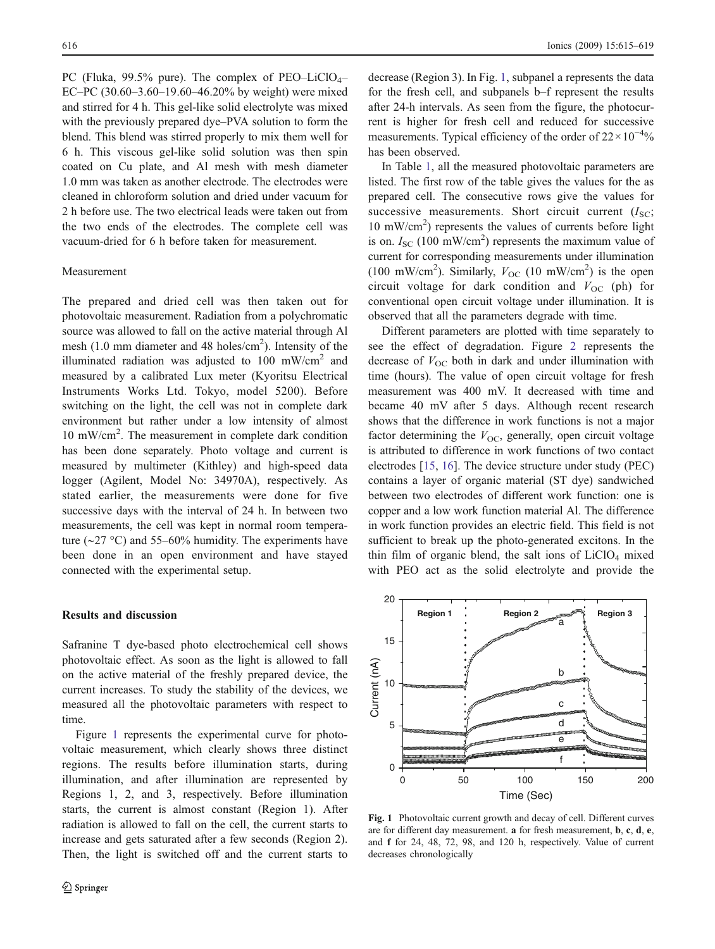PC (Fluka, 99.5% pure). The complex of PEO–LiClO<sub>4</sub>– EC–PC (30.60–3.60–19.60–46.20% by weight) were mixed and stirred for 4 h. This gel-like solid electrolyte was mixed with the previously prepared dye–PVA solution to form the blend. This blend was stirred properly to mix them well for 6 h. This viscous gel-like solid solution was then spin coated on Cu plate, and Al mesh with mesh diameter 1.0 mm was taken as another electrode. The electrodes were cleaned in chloroform solution and dried under vacuum for 2 h before use. The two electrical leads were taken out from the two ends of the electrodes. The complete cell was vacuum-dried for 6 h before taken for measurement.

#### Measurement

The prepared and dried cell was then taken out for photovoltaic measurement. Radiation from a polychromatic source was allowed to fall on the active material through Al mesh (1.0 mm diameter and 48 holes/cm<sup>2</sup>). Intensity of the illuminated radiation was adjusted to 100 mW/cm<sup>2</sup> and measured by a calibrated Lux meter (Kyoritsu Electrical Instruments Works Ltd. Tokyo, model 5200). Before switching on the light, the cell was not in complete dark environment but rather under a low intensity of almost 10 mW/cm<sup>2</sup> . The measurement in complete dark condition has been done separately. Photo voltage and current is measured by multimeter (Kithley) and high-speed data logger (Agilent, Model No: 34970A), respectively. As stated earlier, the measurements were done for five successive days with the interval of 24 h. In between two measurements, the cell was kept in normal room temperature (∼27 °C) and 55–60% humidity. The experiments have been done in an open environment and have stayed connected with the experimental setup.

## Results and discussion

Safranine T dye-based photo electrochemical cell shows photovoltaic effect. As soon as the light is allowed to fall on the active material of the freshly prepared device, the current increases. To study the stability of the devices, we measured all the photovoltaic parameters with respect to time.

Figure 1 represents the experimental curve for photovoltaic measurement, which clearly shows three distinct regions. The results before illumination starts, during illumination, and after illumination are represented by Regions 1, 2, and 3, respectively. Before illumination starts, the current is almost constant (Region 1). After radiation is allowed to fall on the cell, the current starts to increase and gets saturated after a few seconds (Region 2). Then, the light is switched off and the current starts to decrease (Region 3). In Fig. 1, subpanel a represents the data for the fresh cell, and subpanels b–f represent the results after 24-h intervals. As seen from the figure, the photocurrent is higher for fresh cell and reduced for successive measurements. Typical efficiency of the order of  $22 \times 10^{-4}$ % has been observed.

In Table [1](#page-2-0), all the measured photovoltaic parameters are listed. The first row of the table gives the values for the as prepared cell. The consecutive rows give the values for successive measurements. Short circuit current  $(I<sub>SC</sub>;$ 10 mW/cm<sup>2</sup> ) represents the values of currents before light is on.  $I_{SC}$  (100 mW/cm<sup>2</sup>) represents the maximum value of current for corresponding measurements under illumination (100 mW/cm<sup>2</sup>). Similarly,  $V_{OC}$  (10 mW/cm<sup>2</sup>) is the open circuit voltage for dark condition and  $V_{OC}$  (ph) for conventional open circuit voltage under illumination. It is observed that all the parameters degrade with time.

Different parameters are plotted with time separately to see the effect of degradation. Figure [2](#page-2-0) represents the decrease of  $V_{\text{OC}}$  both in dark and under illumination with time (hours). The value of open circuit voltage for fresh measurement was 400 mV. It decreased with time and became 40 mV after 5 days. Although recent research shows that the difference in work functions is not a major factor determining the  $V_{\text{OC}}$ , generally, open circuit voltage is attributed to difference in work functions of two contact electrodes [[15,](#page-4-0) [16\]](#page-4-0). The device structure under study (PEC) contains a layer of organic material (ST dye) sandwiched between two electrodes of different work function: one is copper and a low work function material Al. The difference in work function provides an electric field. This field is not sufficient to break up the photo-generated excitons. In the thin film of organic blend, the salt ions of  $LiClO<sub>4</sub>$  mixed with PEO act as the solid electrolyte and provide the



Fig. 1 Photovoltaic current growth and decay of cell. Different curves are for different day measurement. a for fresh measurement, b, c, d, e, and f for 24, 48, 72, 98, and 120 h, respectively. Value of current decreases chronologically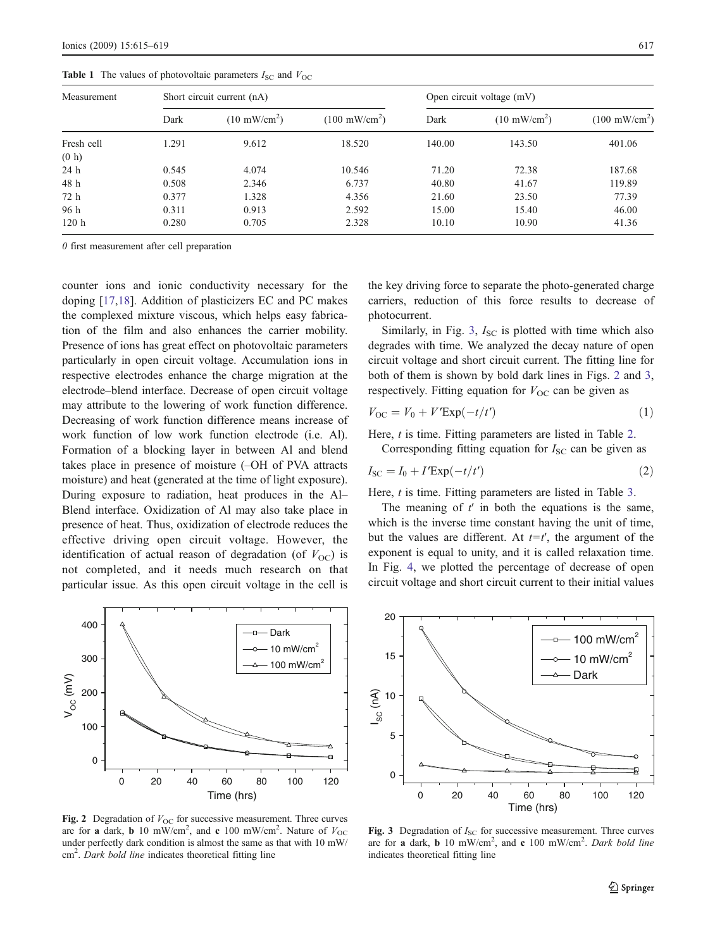| Measurement | Short circuit current (nA) |                        |                         | Open circuit voltage (mV) |                        |                         |
|-------------|----------------------------|------------------------|-------------------------|---------------------------|------------------------|-------------------------|
|             | Dark                       | $(10 \text{ mW/cm}^2)$ | $(100 \text{ mW/cm}^2)$ | Dark                      | $(10 \text{ mW/cm}^2)$ | $(100 \text{ mW/cm}^2)$ |
| Fresh cell  | 1.291                      | 9.612                  | 18.520                  | 140.00                    | 143.50                 | 401.06                  |
| (0 h)       |                            |                        |                         |                           |                        |                         |
| 24 h        | 0.545                      | 4.074                  | 10.546                  | 71.20                     | 72.38                  | 187.68                  |
| 48 h        | 0.508                      | 2.346                  | 6.737                   | 40.80                     | 41.67                  | 119.89                  |
| 72 h        | 0.377                      | 1.328                  | 4.356                   | 21.60                     | 23.50                  | 77.39                   |
| 96 h        | 0.311                      | 0.913                  | 2.592                   | 15.00                     | 15.40                  | 46.00                   |
| 120h        | 0.280                      | 0.705                  | 2.328                   | 10.10                     | 10.90                  | 41.36                   |

<span id="page-2-0"></span>**Table 1** The values of photovoltaic parameters  $I_{SC}$  and  $V_{OC}$ 

0 first measurement after cell preparation

counter ions and ionic conductivity necessary for the doping [[17,18](#page-4-0)]. Addition of plasticizers EC and PC makes the complexed mixture viscous, which helps easy fabrication of the film and also enhances the carrier mobility. Presence of ions has great effect on photovoltaic parameters particularly in open circuit voltage. Accumulation ions in respective electrodes enhance the charge migration at the electrode–blend interface. Decrease of open circuit voltage may attribute to the lowering of work function difference. Decreasing of work function difference means increase of work function of low work function electrode (i.e. Al). Formation of a blocking layer in between Al and blend takes place in presence of moisture (–OH of PVA attracts moisture) and heat (generated at the time of light exposure). During exposure to radiation, heat produces in the Al– Blend interface. Oxidization of Al may also take place in presence of heat. Thus, oxidization of electrode reduces the effective driving open circuit voltage. However, the identification of actual reason of degradation (of  $V_{\text{OC}}$ ) is not completed, and it needs much research on that particular issue. As this open circuit voltage in the cell is



Fig. 2 Degradation of  $V_{\text{OC}}$  for successive measurement. Three curves are for a dark, **b** 10 mW/cm<sup>2</sup>, and **c** 100 mW/cm<sup>2</sup>. Nature of  $V_{\text{OC}}$ under perfectly dark condition is almost the same as that with 10 mW/ cm<sup>2</sup>. Dark bold line indicates theoretical fitting line

the key driving force to separate the photo-generated charge carriers, reduction of this force results to decrease of photocurrent.

Similarly, in Fig. 3,  $I_{SC}$  is plotted with time which also degrades with time. We analyzed the decay nature of open circuit voltage and short circuit current. The fitting line for both of them is shown by bold dark lines in Figs. 2 and 3, respectively. Fitting equation for  $V_{\text{OC}}$  can be given as

$$
V_{\rm OC} = V_0 + V' \exp(-t/t')
$$
 (1)

Here, *t* is time. Fitting parameters are listed in Table [2.](#page-3-0) Corresponding fitting equation for  $I_{SC}$  can be given as

$$
I_{\rm SC} = I_0 + I' \exp(-t/t')
$$
 (2)

Here, *t* is time. Fitting parameters are listed in Table [3.](#page-3-0)

The meaning of  $t'$  in both the equations is the same, which is the inverse time constant having the unit of time, but the values are different. At  $t=t'$ , the argument of the exponent is equal to unity, and it is called relaxation time. In Fig. [4](#page-3-0), we plotted the percentage of decrease of open circuit voltage and short circuit current to their initial values



Fig. 3 Degradation of  $I<sub>SC</sub>$  for successive measurement. Three curves are for a dark, **b** 10 mW/cm<sup>2</sup>, and **c** 100 mW/cm<sup>2</sup>. Dark bold line indicates theoretical fitting line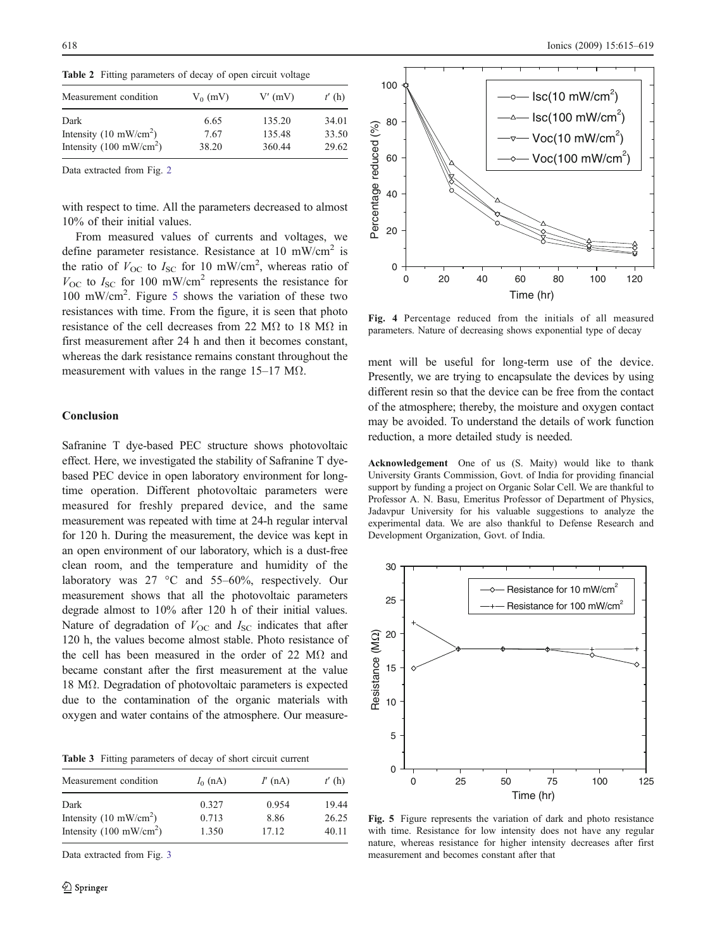<span id="page-3-0"></span>Table 2 Fitting parameters of decay of open circuit voltage

| Measurement condition             | $V_0$ (mV) | V'(mV) | t'(h) |
|-----------------------------------|------------|--------|-------|
| Dark                              | 6.65       | 135.20 | 34.01 |
| Intensity $(10 \text{ mW/cm}^2)$  | 7.67       | 135.48 | 33.50 |
| Intensity $(100 \text{ mW/cm}^2)$ | 38.20      | 360.44 | 29.62 |

Data extracted from Fig. [2](#page-2-0)

with respect to time. All the parameters decreased to almost 10% of their initial values.

From measured values of currents and voltages, we define parameter resistance. Resistance at 10 mW/cm<sup>2</sup> is the ratio of  $V_{\text{OC}}$  to  $I_{\text{SC}}$  for 10 mW/cm<sup>2</sup>, whereas ratio of  $V_{\text{OC}}$  to  $I_{\text{SC}}$  for 100 mW/cm<sup>2</sup> represents the resistance for 100 mW/cm<sup>2</sup> . Figure 5 shows the variation of these two resistances with time. From the figure, it is seen that photo resistance of the cell decreases from 22 M $\Omega$  to 18 M $\Omega$  in first measurement after 24 h and then it becomes constant, whereas the dark resistance remains constant throughout the measurement with values in the range  $15-17$  M $\Omega$ .

#### Conclusion

Safranine T dye-based PEC structure shows photovoltaic effect. Here, we investigated the stability of Safranine T dyebased PEC device in open laboratory environment for longtime operation. Different photovoltaic parameters were measured for freshly prepared device, and the same measurement was repeated with time at 24-h regular interval for 120 h. During the measurement, the device was kept in an open environment of our laboratory, which is a dust-free clean room, and the temperature and humidity of the laboratory was 27 °C and 55–60%, respectively. Our measurement shows that all the photovoltaic parameters degrade almost to 10% after 120 h of their initial values. Nature of degradation of  $V_{\text{OC}}$  and  $I_{\text{SC}}$  indicates that after 120 h, the values become almost stable. Photo resistance of the cell has been measured in the order of 22 M $\Omega$  and became constant after the first measurement at the value 18 MΩ. Degradation of photovoltaic parameters is expected due to the contamination of the organic materials with oxygen and water contains of the atmosphere. Our measure-

Table 3 Fitting parameters of decay of short circuit current

| Measurement condition                    | $I_0$ (nA)     | $I'$ (nA)     | t'(h)<br>19.44<br>26.25 |
|------------------------------------------|----------------|---------------|-------------------------|
| Dark<br>Intensity $(10 \text{ mW/cm}^2)$ | 0.327<br>0.713 | 0.954<br>8.86 |                         |
| Intensity $(100 \text{ mW/cm}^2)$        | 1.350          | 17.12         | 40.11                   |

Data extracted from Fig. [3](#page-2-0)



Fig. 4 Percentage reduced from the initials of all measured parameters. Nature of decreasing shows exponential type of decay

ment will be useful for long-term use of the device. Presently, we are trying to encapsulate the devices by using different resin so that the device can be free from the contact of the atmosphere; thereby, the moisture and oxygen contact may be avoided. To understand the details of work function reduction, a more detailed study is needed.

Acknowledgement One of us (S. Maity) would like to thank University Grants Commission, Govt. of India for providing financial support by funding a project on Organic Solar Cell. We are thankful to Professor A. N. Basu, Emeritus Professor of Department of Physics, Jadavpur University for his valuable suggestions to analyze the experimental data. We are also thankful to Defense Research and Development Organization, Govt. of India.



Fig. 5 Figure represents the variation of dark and photo resistance with time. Resistance for low intensity does not have any regular nature, whereas resistance for higher intensity decreases after first measurement and becomes constant after that